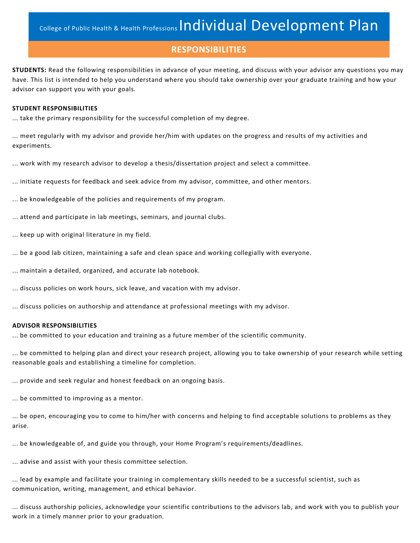#### **RESPONSIBILITIES**

**STUDENTS:** Read the following responsibilities in advance of your meeting, and discuss with your advisor any questions you may have. This list is intended to help you understand where you should take ownership over your graduate training and how your advisor can support you with your goals.

#### **STUDENT RESPONSIBILITIES**

... take the primary responsibility for the successful completion of my degree.

... meet regularly with my advisor and provide her/him with updates on the progress and results of my activities and experiments.

... work with my research advisor to develop a thesis/dissertation project and select a committee.

... initiate requests for feedback and seek advice from my advisor, committee, and other mentors.

... be knowledgeable of the policies and requirements of my program.

... attend and participate in lab meetings, seminars, and journal clubs.

- ... keep up with original literature in my field.
- ... be a good lab citizen, maintaining a safe and clean space and working collegially with everyone.

... maintain a detailed, organized, and accurate lab notebook.

... discuss policies on work hours, sick leave, and vacation with my advisor.

... discuss policies on authorship and attendance at professional meetings with my advisor.

#### **ADVISOR RESPONSIBILITIES**

... be committed to your education and training as a future member of the scientific community.

... be committed to helping plan and direct your research project, allowing you to take ownership of your research while setting reasonable goals and establishing a timeline for completion.

... provide and seek regular and honest feedback on an ongoing basis.

... be committed to improving as a mentor.

... be open, encouraging you to come to him/her with concerns and helping to find acceptable solutions to problems as they arise.

... be knowledgeable of, and guide you through, your Home Program's requirements/deadlines.

... advise and assist with your thesis committee selection.

... lead by example and facilitate your training in complementary skills needed to be a successful scientist, such as communication, writing, management, and ethical behavior.

... discuss authorship policies, acknowledge your scientific contributions to the advisors lab, and work with you to publish your work in a timely manner prior to your graduation.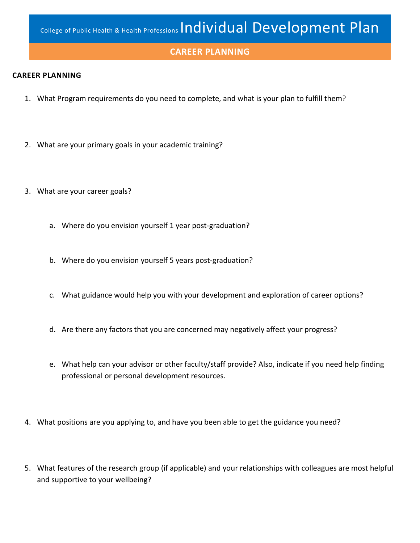#### **CAREER PLANNING**

#### **CAREER PLANNING**

- 1. What Program requirements do you need to complete, and what is your plan to fulfill them?
- 2. What are your primary goals in your academic training?
- 3. What are your career goals?
	- a. Where do you envision yourself 1 year post-graduation?
	- b. Where do you envision yourself 5 years post-graduation?
	- c. What guidance would help you with your development and exploration of career options?
	- d. Are there any factors that you are concerned may negatively affect your progress?
	- e. What help can your advisor or other faculty/staff provide? Also, indicate if you need help finding professional or personal development resources.
- 4. What positions are you applying to, and have you been able to get the guidance you need?
- 5. What features of the research group (if applicable) and your relationships with colleagues are most helpful and supportive to your wellbeing?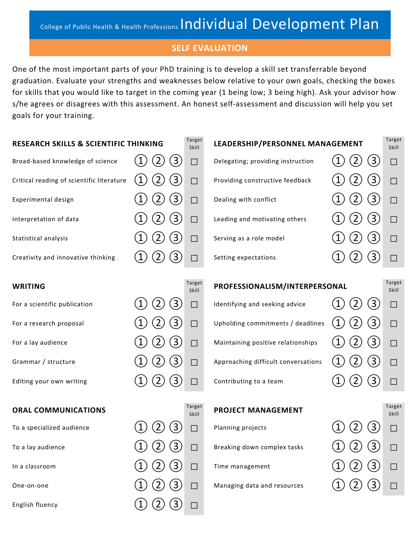#### **SELF EVALUATION**

One of the most important parts of your PhD training is to develop a skill set transferrable beyond graduation. Evaluate your strengths and weaknesses below relative to your own goals, checking the boxes for skills that you would like to target in the coming year (1 being low; 3 being high). Ask your advisor how s/he agrees or disagrees with this assessment. An honest self-assessment and discussion will help you set goals for your training.

| <b>RESEARCH SKILLS &amp; SCIENTIFIC THINKING</b> |              | Target<br>Skill | LEADERSHIP/PERSONNEL MANAGEMENT   |  | Target<br>Skill |
|--------------------------------------------------|--------------|-----------------|-----------------------------------|--|-----------------|
| Broad-based knowledge of science                 |              |                 | Delegating; providing instruction |  |                 |
| Critical reading of scientific literature        |              |                 | Providing constructive feedback   |  |                 |
| Experimental design                              | $\mathbf{3}$ |                 | Dealing with conflict             |  |                 |
| Interpretation of data                           | 3            |                 | Leading and motivating others     |  |                 |
| Statistical analysis                             | 3            |                 | Serving as a role model           |  |                 |
| Creativity and innovative thinking               |              |                 | Setting expectations              |  |                 |
|                                                  |              |                 |                                   |  |                 |
| <b>WRITING</b>                                   |              | Target<br>Skill | PROFESSIONALISM/INTERPERSONAL     |  | Target<br>Skill |
| For a scientific publication                     |              |                 | Identifying and seeking advice    |  |                 |

**ORAL COMMUNICATIONS** 

English fluency  $(1)$   $(2)$   $(3)$   $\Box$ 

# For a research proposal  $(1)\,(2)\,(3)$   $\Box$  Upholding commitments / deadlines  $\,(1)\,(2)\,(3)$   $\Box$ For a lay audience  $(1)\,(2)\,(3)$   $\Box$  Maintaining positive relationships  $\quad$   $(1)\,(2)\,(3)$   $\Box$ Grammar / structure  $\qquad \qquad (1)\ (2)\ (3)$   $\Box$  Approaching difficult conversations  $\qquad 1)\ (2)\ (3)$   $\Box$ Editing your own writing  $\hskip 4cm \textcircled{1}$   $\hskip 4mm \textcircled{2}$   $\hskip 4mm \textcircled{3}$   $\hskip 4mm \textcircled{1}$   $\hskip 4mm \textcircled{3}$   $\hskip 4mm \textcircled{3}$   $\hskip 4mm \textcircled{1}$

Skill

### **PROJECT MANAGEMENT**

| To a specialized audience | (2)<br>(3) | Planning projects           | $(1)$ $(2)$ $(3)$<br>$\Box$  |        |
|---------------------------|------------|-----------------------------|------------------------------|--------|
| To a lay audience         | (3)<br>(2) | Breaking down complex tasks | (3)<br>$(1)$ $(2)$<br>$\Box$ |        |
| In a classroom            | (3)<br>(2) | Time management             | $(1)$ $(2)$ $(3)$<br>$\Box$  |        |
| One-on-one                |            | Managing data and resources | (3)                          | $\Box$ |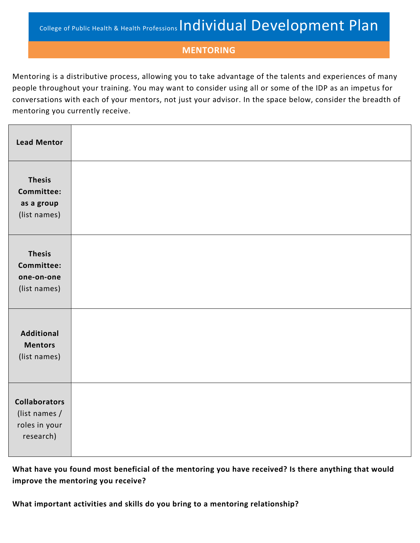### **MENTORING**

Mentoring is a distributive process, allowing you to take advantage of the talents and experiences of many people throughout your training. You may want to consider using all or some of the IDP as an impetus for conversations with each of your mentors, not just your advisor. In the space below, consider the breadth of mentoring you currently receive.

| <b>Lead Mentor</b>                                                  |  |
|---------------------------------------------------------------------|--|
| <b>Thesis</b><br>Committee:<br>as a group<br>(list names)           |  |
| <b>Thesis</b><br>Committee:<br>one-on-one<br>(list names)           |  |
| <b>Additional</b><br><b>Mentors</b><br>(list names)                 |  |
| <b>Collaborators</b><br>(list names /<br>roles in your<br>research) |  |

**What have you found most beneficial of the mentoring you have received? Is there anything that would improve the mentoring you receive?**

**What important activities and skills do you bring to a mentoring relationship?**